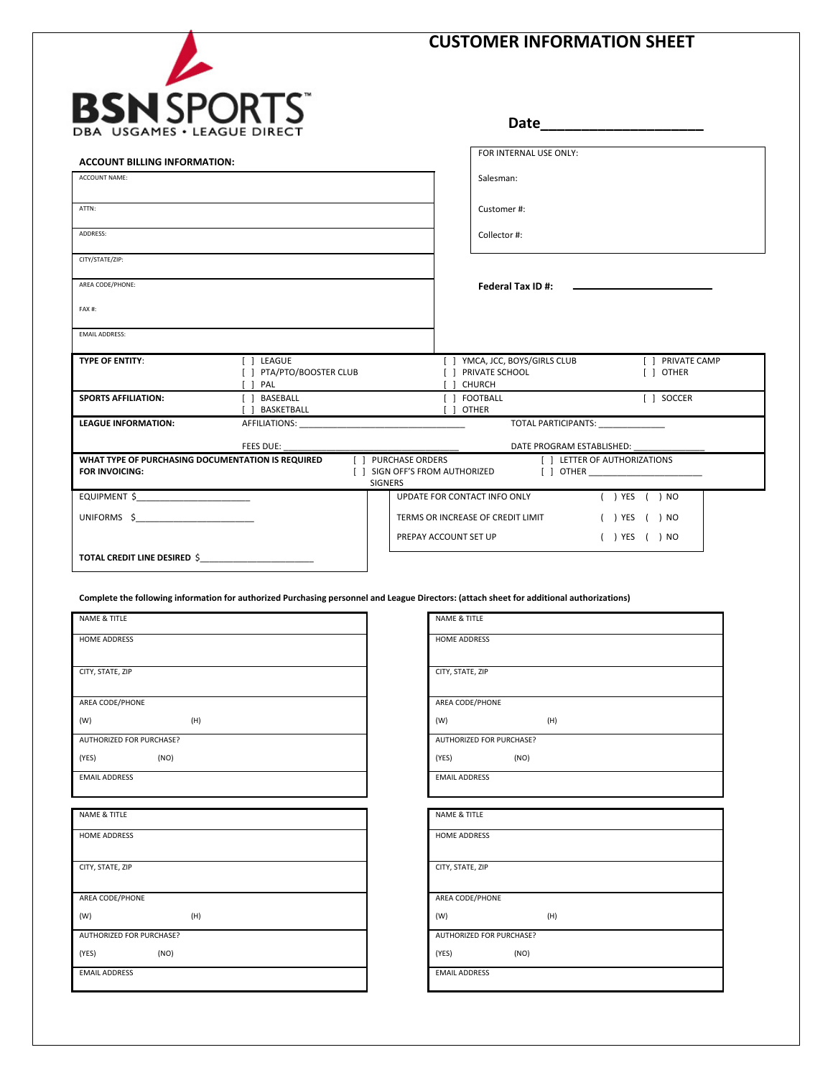# **CUSTOMER INFORMATION SHEET** BSN **I** SPORT **Date\_\_\_\_\_\_\_\_\_\_\_\_\_\_\_\_\_\_\_\_** USGAMES . LEAG FOR INTERNAL USE ONLY: **ACCOUNT BILLING INFORMATION:** ACCOUNT NAME: Salesman: ATTN: Customer #: ADDRESS: Collector #: CITY/STATE/ZIP: AREA CODE/PHONE: **Federal Tax ID #:**  FAX #: EMAIL ADDRESS: **TYPE OF ENTITY: III** LEAGUE [ PRIVATE CAMP [<sup>2</sup>] YMCA, JCC, BOYS/GIRLS CLUB [<sup>2</sup>] PTA/PTO/BOOSTER CLUB [<sup>2</sup>] PRIVATE SCHOOL  $[$  $\Box$  OTHER  $\Box$  PAL  $[$  $\Box$  CHURCH [ ] SOCCER **SPORTS AFFILIATION:** [C] BASEBALL [<sup> $\Box$ </sup> FOOTBALL [<sup>2</sup>] BASKETBALL [ ] OTHER LEAGUE INFORMATION: AFFILIATIONS: TOTAL PARTICIPANTS: \_ DATE PROGRAM ESTABLISHED: FEES DUE: **WHAT TYPE OF PURCHASING DOCUMENTATION IS REQUIRED**  [ ] PURCHASE ORDERS **[** LETTER OF AUTHORIZATIONS **FOR INVOICING:** [ $\Box$ ] SIGN OFF'S FROM AUTHORIZED  $\boxed{\Box}$  OTHER SIGNERS EQUIPMENT \$\_\_\_\_\_\_\_\_\_\_\_\_\_\_\_\_\_\_\_\_\_\_\_\_ UPDATE FOR CONTACT INFO ONLY ( ) YES ( ) NO UNIFORMS \$\_\_\_\_\_\_\_\_\_\_\_\_\_\_\_\_\_\_\_\_\_\_\_\_\_ TERMS OR INCREASE OF CREDIT LIMIT (©) YES (©) NO PREPAY ACCOUNT SET UP  $(O)$  YES  $(O)$  NO **TOTAL CREDIT LINE DESIRED** \$\_\_\_\_\_\_\_\_\_\_\_\_\_\_\_\_\_\_\_\_\_\_\_\_ **Complete the following information for authorized Purchasing personnel and League Directors: (attach sheet for additional authorizations)** NAME & TITLE NAME & TITLE HOME ADDRESS HOME ADDRESS

| AREA CODE/PHONE |
|-----------------|

CITY, STATE, ZIP

 $(W)$  (H) AUTHORIZED FOR PURCHASE?

 $(YES)$  (NO)

EMAIL ADDRESS

NAME & TITLE

HOME ADDRESS

CITY, STATE, ZIP

AREA CODE/PHONE

(W) (H)

AUTHORIZED FOR PURCHASE?

 $(YES)$  (NO)

EMAIL ADDRESS

| CITY, STATE, ZIP         |                                 |     |  |  |  |
|--------------------------|---------------------------------|-----|--|--|--|
|                          |                                 |     |  |  |  |
| AREA CODE/PHONE          |                                 |     |  |  |  |
| (W)                      |                                 | (H) |  |  |  |
|                          | <b>AUTHORIZED FOR PURCHASE?</b> |     |  |  |  |
| (YES)                    | (NO)                            |     |  |  |  |
| <b>EMAIL ADDRESS</b>     |                                 |     |  |  |  |
|                          |                                 |     |  |  |  |
|                          |                                 |     |  |  |  |
| <b>NAME &amp; TITLE</b>  |                                 |     |  |  |  |
| HOME ADDRESS             |                                 |     |  |  |  |
|                          |                                 |     |  |  |  |
| CITY, STATE, ZIP         |                                 |     |  |  |  |
|                          |                                 |     |  |  |  |
| AREA CODE/PHONE          |                                 |     |  |  |  |
| (W)                      |                                 | (H) |  |  |  |
| AUTHORIZED FOR PURCHASE? |                                 |     |  |  |  |
| (YES) <sup>O</sup>       | (NO)                            |     |  |  |  |
| <b>EMAIL ADDRESS</b>     |                                 |     |  |  |  |
|                          |                                 |     |  |  |  |